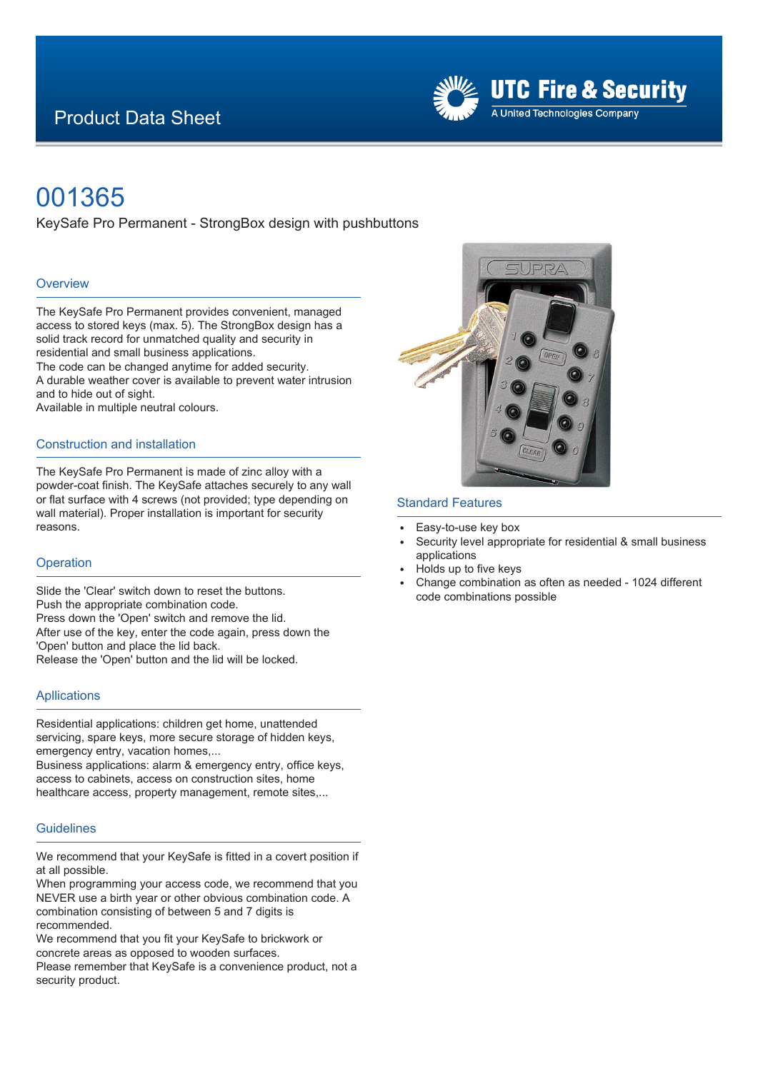## Product Data Sheet



# 001365

KeySafe Pro Permanent - StrongBox design with pushbuttons

#### **Overview**

The KeySafe Pro Permanent provides convenient, managed access to stored keys (max. 5). The StrongBox design has a solid track record for unmatched quality and security in residential and small business applications.

The code can be changed anytime for added security. A durable weather cover is available to prevent water intrusion and to hide out of sight.

Available in multiple neutral colours.

#### Construction and installation

The KeySafe Pro Permanent is made of zinc alloy with a powder-coat finish. The KeySafe attaches securely to any wall or flat surface with 4 screws (not provided; type depending on wall material). Proper installation is important for security reasons.

#### **Operation**

Slide the 'Clear' switch down to reset the buttons. Push the appropriate combination code. Press down the 'Open' switch and remove the lid. After use of the key, enter the code again, press down the 'Open' button and place the lid back. Release the 'Open' button and the lid will be locked.

#### **Apllications**

Residential applications: children get home, unattended servicing, spare keys, more secure storage of hidden keys, emergency entry, vacation homes,...

Business applications: alarm & emergency entry, office keys, access to cabinets, access on construction sites, home healthcare access, property management, remote sites,...

### **Guidelines**

We recommend that your KeySafe is fitted in a covert position if at all possible.

When programming your access code, we recommend that you NEVER use a birth year or other obvious combination code. A combination consisting of between 5 and 7 digits is recommended.

We recommend that you fit your KeySafe to brickwork or

concrete areas as opposed to wooden surfaces.

Please remember that KeySafe is a convenience product, not a security product.



#### Standard Features

- Easy-to-use key box
- Security level appropriate for residential & small business applications
- Holds up to five keys
- <sup>E</sup> Change combination as often as needed 1024 different code combinations possible